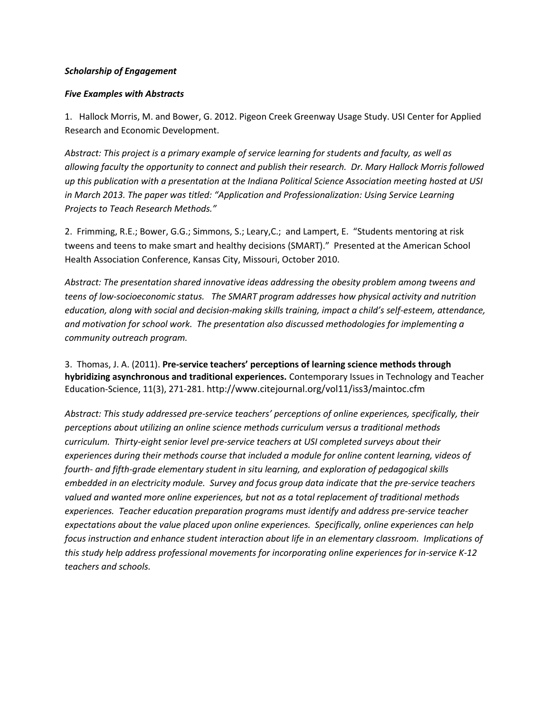## *Scholarship of Engagement*

## *Five Examples with Abstracts*

1. Hallock Morris, M. and Bower, G. 2012. Pigeon Creek Greenway Usage Study. USI Center for Applied Research and Economic Development.

*Abstract: This project is a primary example of service learning for students and faculty, as well as allowing faculty the opportunity to connect and publish their research. Dr. Mary Hallock Morris followed up this publication with a presentation at the Indiana Political Science Association meeting hosted at USI in March 2013. The paper was titled: "Application and Professionalization: Using Service Learning Projects to Teach Research Methods."*

2. Frimming, R.E.; Bower, G.G.; Simmons, S.; Leary,C.; and Lampert, E. "Students mentoring at risk tweens and teens to make smart and healthy decisions (SMART)." Presented at the American School Health Association Conference, Kansas City, Missouri, October 2010.

*Abstract: The presentation shared innovative ideas addressing the obesity problem among tweens and teens of low-socioeconomic status. The SMART program addresses how physical activity and nutrition education, along with social and decision-making skills training, impact a child's self-esteem, attendance, and motivation for school work. The presentation also discussed methodologies for implementing a community outreach program.*

3. Thomas, J. A. (2011). **Pre-service teachers' perceptions of learning science methods through hybridizing asynchronous and traditional experiences.** Contemporary Issues in Technology and Teacher Education-Science, 11(3), 271-281. http://www.citejournal.org/vol11/iss3/maintoc.cfm

*Abstract: This study addressed pre-service teachers' perceptions of online experiences, specifically, their perceptions about utilizing an online science methods curriculum versus a traditional methods curriculum. Thirty-eight senior level pre-service teachers at USI completed surveys about their experiences during their methods course that included a module for online content learning, videos of fourth- and fifth-grade elementary student in situ learning, and exploration of pedagogical skills embedded in an electricity module. Survey and focus group data indicate that the pre-service teachers valued and wanted more online experiences, but not as a total replacement of traditional methods experiences. Teacher education preparation programs must identify and address pre-service teacher expectations about the value placed upon online experiences. Specifically, online experiences can help focus instruction and enhance student interaction about life in an elementary classroom. Implications of this study help address professional movements for incorporating online experiences for in-service K-12 teachers and schools.*